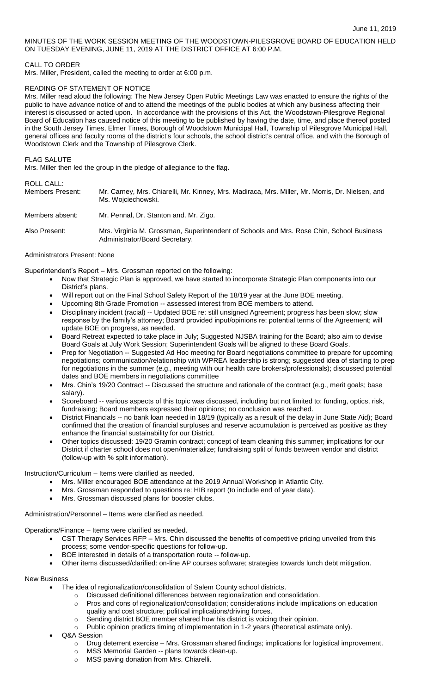MINUTES OF THE WORK SESSION MEETING OF THE WOODSTOWN-PILESGROVE BOARD OF EDUCATION HELD ON TUESDAY EVENING, JUNE 11, 2019 AT THE DISTRICT OFFICE AT 6:00 P.M.

# CALL TO ORDER

Mrs. Miller, President, called the meeting to order at 6:00 p.m.

### READING OF STATEMENT OF NOTICE

Mrs. Miller read aloud the following: The New Jersey Open Public Meetings Law was enacted to ensure the rights of the public to have advance notice of and to attend the meetings of the public bodies at which any business affecting their interest is discussed or acted upon. In accordance with the provisions of this Act, the Woodstown-Pilesgrove Regional Board of Education has caused notice of this meeting to be published by having the date, time, and place thereof posted in the South Jersey Times, Elmer Times, Borough of Woodstown Municipal Hall, Township of Pilesgrove Municipal Hall, general offices and faculty rooms of the district's four schools, the school district's central office, and with the Borough of Woodstown Clerk and the Township of Pilesgrove Clerk.

#### FLAG SALUTE

Mrs. Miller then led the group in the pledge of allegiance to the flag.

### ROLL CALL:

| <b>Members Present:</b> | Mr. Carney, Mrs. Chiarelli, Mr. Kinney, Mrs. Madiraca, Mrs. Miller, Mr. Morris, Dr. Nielsen, and |
|-------------------------|--------------------------------------------------------------------------------------------------|
|                         | Ms. Wojciechowski.                                                                               |
|                         |                                                                                                  |

Members absent: Mr. Pennal, Dr. Stanton and. Mr. Zigo.

Also Present: Mrs. Virginia M. Grossman, Superintendent of Schools and Mrs. Rose Chin, School Business Administrator/Board Secretary.

### Administrators Present: None

Superintendent's Report – Mrs. Grossman reported on the following:

- Now that Strategic Plan is approved, we have started to incorporate Strategic Plan components into our District's plans.
- Will report out on the Final School Safety Report of the 18/19 year at the June BOE meeting.
- Upcoming 8th Grade Promotion -- assessed interest from BOE members to attend.
- Disciplinary incident (racial) -- Updated BOE re: still unsigned Agreement; progress has been slow; slow response by the family's attorney; Board provided input/opinions re: potential terms of the Agreement; will update BOE on progress, as needed.
- Board Retreat expected to take place in July; Suggested NJSBA training for the Board; also aim to devise Board Goals at July Work Session; Superintendent Goals will be aligned to these Board Goals.
- Prep for Negotiation -- Suggested Ad Hoc meeting for Board negotiations committee to prepare for upcoming negotiations; communication/relationship with WPREA leadership is strong; suggested idea of starting to prep for negotiations in the summer (e.g., meeting with our health care brokers/professionals); discussed potential dates and BOE members in negotiations committee
- Mrs. Chin's 19/20 Contract -- Discussed the structure and rationale of the contract (e.g., merit goals; base salary).
- Scoreboard -- various aspects of this topic was discussed, including but not limited to: funding, optics, risk, fundraising; Board members expressed their opinions; no conclusion was reached.
- District Financials -- no bank loan needed in 18/19 (typically as a result of the delay in June State Aid); Board confirmed that the creation of financial surpluses and reserve accumulation is perceived as positive as they enhance the financial sustainability for our District.
- Other topics discussed: 19/20 Gramin contract; concept of team cleaning this summer; implications for our District if charter school does not open/materialize; fundraising split of funds between vendor and district (follow-up with % split information).

Instruction/Curriculum – Items were clarified as needed.

- Mrs. Miller encouraged BOE attendance at the 2019 Annual Workshop in Atlantic City.
- Mrs. Grossman responded to questions re: HIB report (to include end of year data).
- Mrs. Grossman discussed plans for booster clubs.

Administration/Personnel – Items were clarified as needed.

Operations/Finance – Items were clarified as needed.

- CST Therapy Services RFP Mrs. Chin discussed the benefits of competitive pricing unveiled from this process; some vendor-specific questions for follow-up.
- BOE interested in details of a transportation route -- follow-up.
- Other items discussed/clarified: on-line AP courses software; strategies towards lunch debt mitigation.

### New Business

- The idea of regionalization/consolidation of Salem County school districts.
	- o Discussed definitional differences between regionalization and consolidation.
	- o Pros and cons of regionalization/consolidation; considerations include implications on education quality and cost structure; political implications/driving forces.
	- o Sending district BOE member shared how his district is voicing their opinion.
	- o Public opinion predicts timing of implementation in 1-2 years (theoretical estimate only).
- Q&A Session
	- o Drug deterrent exercise Mrs. Grossman shared findings; implications for logistical improvement.<br>○ MSS Memorial Garden -- plans towards clean-up.
	- o MSS Memorial Garden -- plans towards clean-up.<br>○ MSS paving donation from Mrs. Chiarelli.
	- MSS paving donation from Mrs. Chiarelli.